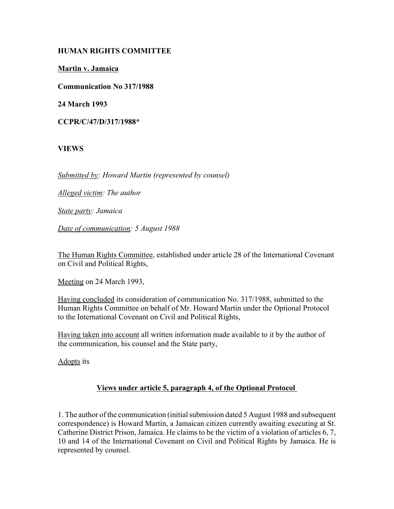# **HUMAN RIGHTS COMMITTEE**

**Martin v. Jamaica**

**Communication No 317/1988**

**24 March 1993**

**CCPR/C/47/D/317/1988\***

**VIEWS**

*Submitted by: Howard Martin (represented by counsel)* 

*Alleged victim: The author* 

*State party: Jamaica* 

*Date of communication: 5 August 1988*

The Human Rights Committee, established under article 28 of the International Covenant on Civil and Political Rights,

Meeting on 24 March 1993,

Having concluded its consideration of communication No. 317/1988, submitted to the Human Rights Committee on behalf of Mr. Howard Martin under the Optional Protocol to the International Covenant on Civil and Political Rights,

Having taken into account all written information made available to it by the author of the communication, his counsel and the State party,

Adopts its

# **Views under article 5, paragraph 4, of the Optional Protocol**

1. The author of the communication (initial submission dated 5 August 1988 and subsequent correspondence) is Howard Martin, a Jamaican citizen currently awaiting executing at St. Catherine District Prison, Jamaica. He claims to be the victim of a violation of articles 6, 7, 10 and 14 of the International Covenant on Civil and Political Rights by Jamaica. He is represented by counsel.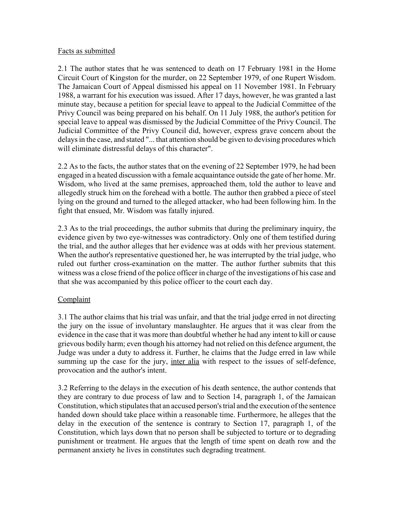#### Facts as submitted

2.1 The author states that he was sentenced to death on 17 February 1981 in the Home Circuit Court of Kingston for the murder, on 22 September 1979, of one Rupert Wisdom. The Jamaican Court of Appeal dismissed his appeal on 11 November 1981. In February 1988, a warrant for his execution was issued. After 17 days, however, he was granted a last minute stay, because a petition for special leave to appeal to the Judicial Committee of the Privy Council was being prepared on his behalf. On 11 July 1988, the author's petition for special leave to appeal was dismissed by the Judicial Committee of the Privy Council. The Judicial Committee of the Privy Council did, however, express grave concern about the delays in the case, and stated "... that attention should be given to devising procedures which will eliminate distressful delays of this character".

2.2 As to the facts, the author states that on the evening of 22 September 1979, he had been engaged in a heated discussion with a female acquaintance outside the gate of her home. Mr. Wisdom, who lived at the same premises, approached them, told the author to leave and allegedly struck him on the forehead with a bottle. The author then grabbed a piece of steel lying on the ground and turned to the alleged attacker, who had been following him. In the fight that ensued, Mr. Wisdom was fatally injured.

2.3 As to the trial proceedings, the author submits that during the preliminary inquiry, the evidence given by two eye-witnesses was contradictory. Only one of them testified during the trial, and the author alleges that her evidence was at odds with her previous statement. When the author's representative questioned her, he was interrupted by the trial judge, who ruled out further cross-examination on the matter. The author further submits that this witness was a close friend of the police officer in charge of the investigations of his case and that she was accompanied by this police officer to the court each day.

# **Complaint**

3.1 The author claims that his trial was unfair, and that the trial judge erred in not directing the jury on the issue of involuntary manslaughter. He argues that it was clear from the evidence in the case that it was more than doubtful whether he had any intent to kill or cause grievous bodily harm; even though his attorney had not relied on this defence argument, the Judge was under a duty to address it. Further, he claims that the Judge erred in law while summing up the case for the jury, inter alia with respect to the issues of self-defence, provocation and the author's intent.

3.2 Referring to the delays in the execution of his death sentence, the author contends that they are contrary to due process of law and to Section 14, paragraph 1, of the Jamaican Constitution, which stipulates that an accused person's trial and the execution of the sentence handed down should take place within a reasonable time. Furthermore, he alleges that the delay in the execution of the sentence is contrary to Section 17, paragraph 1, of the Constitution, which lays down that no person shall be subjected to torture or to degrading punishment or treatment. He argues that the length of time spent on death row and the permanent anxiety he lives in constitutes such degrading treatment.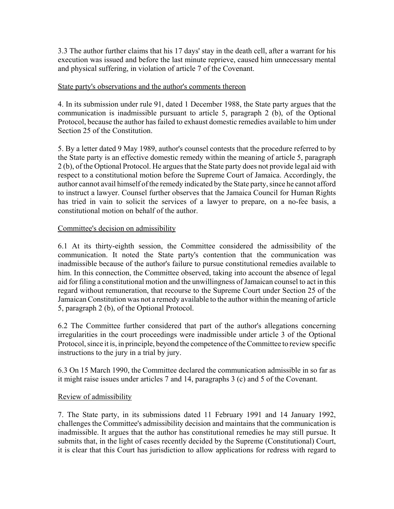3.3 The author further claims that his 17 days' stay in the death cell, after a warrant for his execution was issued and before the last minute reprieve, caused him unnecessary mental and physical suffering, in violation of article 7 of the Covenant.

#### State party's observations and the author's comments thereon

4. In its submission under rule 91, dated 1 December 1988, the State party argues that the communication is inadmissible pursuant to article 5, paragraph 2 (b), of the Optional Protocol, because the author has failed to exhaust domestic remedies available to him under Section 25 of the Constitution.

5. By a letter dated 9 May 1989, author's counsel contests that the procedure referred to by the State party is an effective domestic remedy within the meaning of article 5, paragraph 2 (b), of the Optional Protocol. He argues that the State party does not provide legal aid with respect to a constitutional motion before the Supreme Court of Jamaica. Accordingly, the author cannot avail himself of the remedy indicated by the State party, since he cannot afford to instruct a lawyer. Counsel further observes that the Jamaica Council for Human Rights has tried in vain to solicit the services of a lawyer to prepare, on a no-fee basis, a constitutional motion on behalf of the author.

### Committee's decision on admissibility

6.1 At its thirty-eighth session, the Committee considered the admissibility of the communication. It noted the State party's contention that the communication was inadmissible because of the author's failure to pursue constitutional remedies available to him. In this connection, the Committee observed, taking into account the absence of legal aid for filing a constitutional motion and the unwillingness of Jamaican counsel to act in this regard without remuneration, that recourse to the Supreme Court under Section 25 of the Jamaican Constitution was not a remedy available to the author within the meaning of article 5, paragraph 2 (b), of the Optional Protocol.

6.2 The Committee further considered that part of the author's allegations concerning irregularities in the court proceedings were inadmissible under article 3 of the Optional Protocol, since it is, in principle, beyond the competence of the Committee to review specific instructions to the jury in a trial by jury.

6.3 On 15 March 1990, the Committee declared the communication admissible in so far as it might raise issues under articles 7 and 14, paragraphs 3 (c) and 5 of the Covenant.

# Review of admissibility

7. The State party, in its submissions dated 11 February 1991 and 14 January 1992, challenges the Committee's admissibility decision and maintains that the communication is inadmissible. It argues that the author has constitutional remedies he may still pursue. It submits that, in the light of cases recently decided by the Supreme (Constitutional) Court, it is clear that this Court has jurisdiction to allow applications for redress with regard to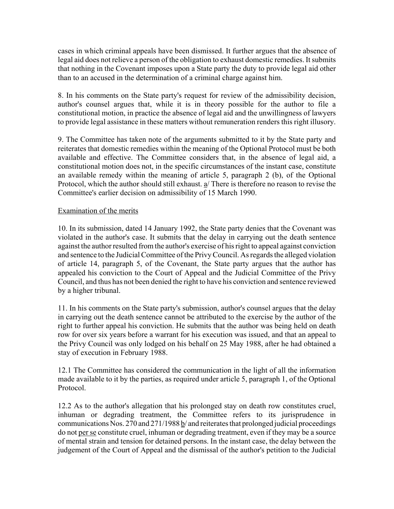cases in which criminal appeals have been dismissed. It further argues that the absence of legal aid does not relieve a person of the obligation to exhaust domestic remedies. It submits that nothing in the Covenant imposes upon a State party the duty to provide legal aid other than to an accused in the determination of a criminal charge against him.

8. In his comments on the State party's request for review of the admissibility decision, author's counsel argues that, while it is in theory possible for the author to file a constitutional motion, in practice the absence of legal aid and the unwillingness of lawyers to provide legal assistance in these matters without remuneration renders this right illusory.

9. The Committee has taken note of the arguments submitted to it by the State party and reiterates that domestic remedies within the meaning of the Optional Protocol must be both available and effective. The Committee considers that, in the absence of legal aid, a constitutional motion does not, in the specific circumstances of the instant case, constitute an available remedy within the meaning of article 5, paragraph 2 (b), of the Optional Protocol, which the author should still exhaust. a/ There is therefore no reason to revise the Committee's earlier decision on admissibility of 15 March 1990.

### Examination of the merits

10. In its submission, dated 14 January 1992, the State party denies that the Covenant was violated in the author's case. It submits that the delay in carrying out the death sentence against the author resulted from the author's exercise of his right to appeal against conviction and sentence to the Judicial Committee of the Privy Council. As regards the alleged violation of article 14, paragraph 5, of the Covenant, the State party argues that the author has appealed his conviction to the Court of Appeal and the Judicial Committee of the Privy Council, and thus has not been denied the right to have his conviction and sentence reviewed by a higher tribunal.

11. In his comments on the State party's submission, author's counsel argues that the delay in carrying out the death sentence cannot be attributed to the exercise by the author of the right to further appeal his conviction. He submits that the author was being held on death row for over six years before a warrant for his execution was issued, and that an appeal to the Privy Council was only lodged on his behalf on 25 May 1988, after he had obtained a stay of execution in February 1988.

12.1 The Committee has considered the communication in the light of all the information made available to it by the parties, as required under article 5, paragraph 1, of the Optional Protocol.

12.2 As to the author's allegation that his prolonged stay on death row constitutes cruel, inhuman or degrading treatment, the Committee refers to its jurisprudence in communications Nos. 270 and 271/1988 b/ and reiterates that prolonged judicial proceedings do not per se constitute cruel, inhuman or degrading treatment, even if they may be a source of mental strain and tension for detained persons. In the instant case, the delay between the judgement of the Court of Appeal and the dismissal of the author's petition to the Judicial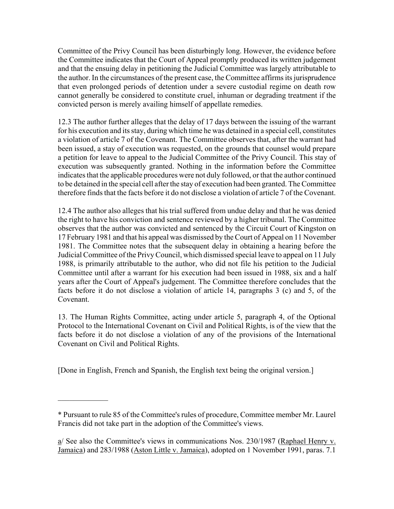Committee of the Privy Council has been disturbingly long. However, the evidence before the Committee indicates that the Court of Appeal promptly produced its written judgement and that the ensuing delay in petitioning the Judicial Committee was largely attributable to the author. In the circumstances of the present case, the Committee affirms its jurisprudence that even prolonged periods of detention under a severe custodial regime on death row cannot generally be considered to constitute cruel, inhuman or degrading treatment if the convicted person is merely availing himself of appellate remedies.

12.3 The author further alleges that the delay of 17 days between the issuing of the warrant for his execution and its stay, during which time he was detained in a special cell, constitutes a violation of article 7 of the Covenant. The Committee observes that, after the warrant had been issued, a stay of execution was requested, on the grounds that counsel would prepare a petition for leave to appeal to the Judicial Committee of the Privy Council. This stay of execution was subsequently granted. Nothing in the information before the Committee indicates that the applicable procedures were not duly followed, or that the author continued to be detained in the special cell after the stay of execution had been granted. The Committee therefore finds that the facts before it do not disclose a violation of article 7 of the Covenant.

12.4 The author also alleges that his trial suffered from undue delay and that he was denied the right to have his conviction and sentence reviewed by a higher tribunal. The Committee observes that the author was convicted and sentenced by the Circuit Court of Kingston on 17 February 1981 and that his appeal was dismissed by the Court of Appeal on 11 November 1981. The Committee notes that the subsequent delay in obtaining a hearing before the Judicial Committee of the Privy Council, which dismissed special leave to appeal on 11 July 1988, is primarily attributable to the author, who did not file his petition to the Judicial Committee until after a warrant for his execution had been issued in 1988, six and a half years after the Court of Appeal's judgement. The Committee therefore concludes that the facts before it do not disclose a violation of article 14, paragraphs 3 (c) and 5, of the Covenant.

13. The Human Rights Committee, acting under article 5, paragraph 4, of the Optional Protocol to the International Covenant on Civil and Political Rights, is of the view that the facts before it do not disclose a violation of any of the provisions of the International Covenant on Civil and Political Rights.

[Done in English, French and Spanish, the English text being the original version.]

 $\frac{1}{2}$ 

<sup>\*</sup> Pursuant to rule 85 of the Committee's rules of procedure, Committee member Mr. Laurel Francis did not take part in the adoption of the Committee's views.

 $a/$  See also the Committee's views in communications Nos. 230/1987 (Raphael Henry v. Jamaica) and 283/1988 (Aston Little v. Jamaica), adopted on 1 November 1991, paras. 7.1